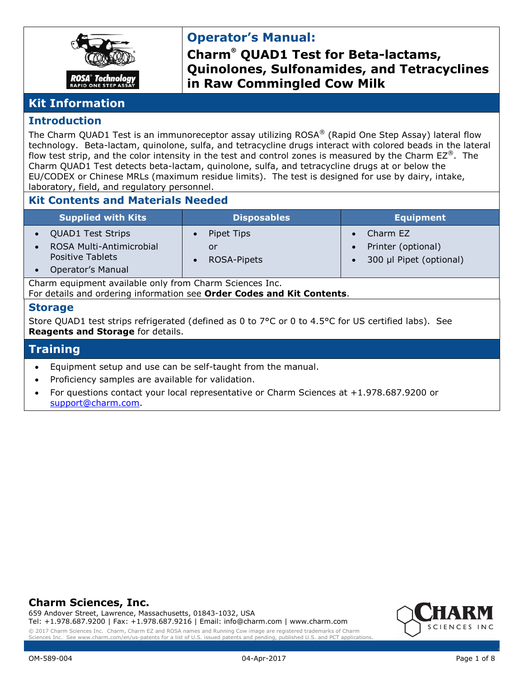

# **Operator's Manual:**

**Charm® QUAD1 Test for Beta-lactams, Quinolones, Sulfonamides, and Tetracyclines in Raw Commingled Cow Milk**

### **Kit Information**

### **Introduction**

The Charm QUAD1 Test is an immunoreceptor assay utilizing ROSA® (Rapid One Step Assay) lateral flow technology. Beta-lactam, quinolone, sulfa, and tetracycline drugs interact with colored beads in the lateral flow test strip, and the color intensity in the test and control zones is measured by the Charm  $EZ^{\otimes}$ . The Charm QUAD1 Test detects beta-lactam, quinolone, sulfa, and tetracycline drugs at or below the EU/CODEX or Chinese MRLs (maximum residue limits). The test is designed for use by dairy, intake, laboratory, field, and regulatory personnel.

### **Kit Contents and Materials Needed**

| <b>Supplied with Kits</b>                                                                                                                       | <b>Disposables</b>              | <b>Equipment</b>                |  |  |
|-------------------------------------------------------------------------------------------------------------------------------------------------|---------------------------------|---------------------------------|--|--|
| <b>QUAD1 Test Strips</b><br>$\bullet$                                                                                                           | Pipet Tips                      | Charm EZ                        |  |  |
| ROSA Multi-Antimicrobial<br>$\bullet$                                                                                                           | or                              | Printer (optional)<br>$\bullet$ |  |  |
| <b>Positive Tablets</b>                                                                                                                         | <b>ROSA-Pipets</b><br>$\bullet$ | 300 µl Pipet (optional)         |  |  |
| Operator's Manual<br>$\bullet$                                                                                                                  |                                 |                                 |  |  |
| Charm equipment available only from Charm Sciences Inc.<br>For details and ordering information see Order Codes and Kit Contents.               |                                 |                                 |  |  |
| <b>Storage</b>                                                                                                                                  |                                 |                                 |  |  |
| Store QUAD1 test strips refrigerated (defined as 0 to 7°C or 0 to 4.5°C for US certified labs). See<br><b>Reagents and Storage for details.</b> |                                 |                                 |  |  |
| <b>Training</b>                                                                                                                                 |                                 |                                 |  |  |
| Equipment setup and use can be self-taught from the manual.<br>$\bullet$                                                                        |                                 |                                 |  |  |

- Proficiency samples are available for validation.
- For questions contact your local representative or Charm Sciences at +1.978.687.9200 or [support@charm.com.](mailto:support@charm.com)

### **Charm Sciences, Inc.**

659 Andover Street, Lawrence, Massachusetts, 01843-1032, USA Tel: +1.978.687.9200 | Fax: +1.978.687.9216 | Email: info@charm.com | www.charm.com



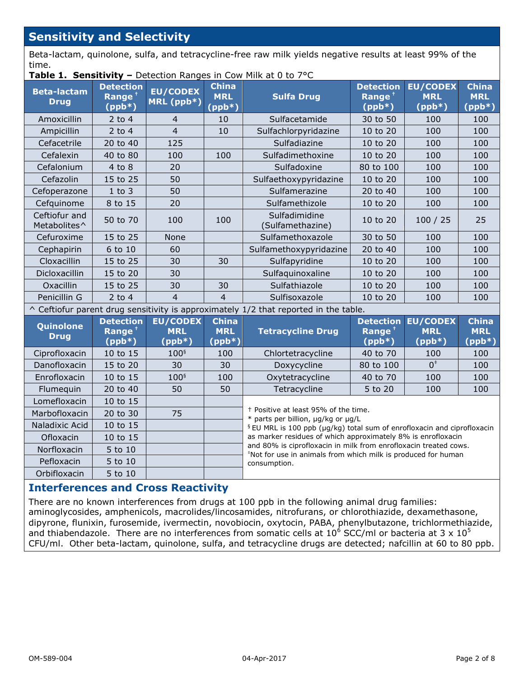## **Sensitivity and Selectivity**

Beta-lactam, quinolone, sulfa, and tetracycline-free raw milk yields negative results at least 99% of the time.

**Table 1. Sensitivity –** Detection Ranges in Cow Milk at 0 to 7°C

| <b>Beta-lactam</b><br><b>Drug</b>                                                           | <b>Detection</b><br>Range $†$<br>$(ppb*)$ | <b>EU/CODEX</b><br>MRL (ppb*)             | <b>China</b><br><b>MRL</b><br>$(ppb*)$ | <b>Sulfa Drug</b>                                                                                                                 | <b>Detection</b><br>Range $†$<br>$(ppb*)$          | <b>EU/CODEX</b><br><b>MRL</b><br>$(ppb^*)$          | <b>China</b><br><b>MRL</b><br>$(ppb*)$ |
|---------------------------------------------------------------------------------------------|-------------------------------------------|-------------------------------------------|----------------------------------------|-----------------------------------------------------------------------------------------------------------------------------------|----------------------------------------------------|-----------------------------------------------------|----------------------------------------|
| Amoxicillin                                                                                 | 2 to 4                                    | 4                                         | 10                                     | Sulfacetamide                                                                                                                     | 30 to 50                                           | 100                                                 | 100                                    |
| Ampicillin                                                                                  | $2$ to 4                                  | $\overline{4}$                            | 10                                     | Sulfachlorpyridazine                                                                                                              | 10 to 20                                           | 100                                                 | 100                                    |
| Cefacetrile                                                                                 | 20 to 40                                  | 125                                       |                                        | Sulfadiazine                                                                                                                      | 10 to 20                                           | 100                                                 | 100                                    |
| Cefalexin                                                                                   | 40 to 80                                  | 100                                       | 100                                    | Sulfadimethoxine                                                                                                                  | 10 to 20                                           | 100                                                 | 100                                    |
| Cefalonium                                                                                  | $4$ to $8$                                | 20                                        |                                        | Sulfadoxine                                                                                                                       | 80 to 100                                          | 100                                                 | 100                                    |
| Cefazolin                                                                                   | 15 to 25                                  | 50                                        |                                        | Sulfaethoxypyridazine                                                                                                             | 10 to 20                                           | 100                                                 | 100                                    |
| Cefoperazone                                                                                | $1$ to $3$                                | 50                                        |                                        | Sulfamerazine                                                                                                                     | 20 to 40                                           | 100                                                 | 100                                    |
| Cefquinome                                                                                  | 8 to 15                                   | 20                                        |                                        | Sulfamethizole                                                                                                                    | 10 to 20                                           | 100                                                 | 100                                    |
| Ceftiofur and<br>Metabolites^                                                               | 50 to 70                                  | 100                                       | 100                                    | Sulfadimidine<br>(Sulfamethazine)                                                                                                 | 10 to 20                                           | 100 / 25                                            | 25                                     |
| Cefuroxime                                                                                  | 15 to 25                                  | None                                      |                                        | Sulfamethoxazole                                                                                                                  | 30 to 50                                           | 100                                                 | 100                                    |
| Cephapirin                                                                                  | 6 to 10                                   | 60                                        |                                        | Sulfamethoxypyridazine                                                                                                            | 20 to 40                                           | 100                                                 | 100                                    |
| Cloxacillin                                                                                 | 15 to 25                                  | 30                                        | 30                                     | Sulfapyridine                                                                                                                     | 10 to 20                                           | 100                                                 | 100                                    |
| Dicloxacillin                                                                               | 15 to 20                                  | 30                                        |                                        | Sulfaquinoxaline                                                                                                                  | 10 to 20                                           | 100                                                 | 100                                    |
| Oxacillin                                                                                   | 15 to 25                                  | 30                                        | 30                                     | Sulfathiazole                                                                                                                     | 10 to 20                                           | 100                                                 | 100                                    |
| Penicillin G                                                                                | $2$ to $4$                                | 4                                         | $\overline{4}$                         | Sulfisoxazole                                                                                                                     | 10 to 20                                           | 100                                                 | 100                                    |
| $\wedge$ Ceftiofur parent drug sensitivity is approximately 1/2 that reported in the table. |                                           |                                           |                                        |                                                                                                                                   |                                                    |                                                     |                                        |
| Quinolone<br><b>Drug</b>                                                                    | <b>Detection</b><br>Range $†$<br>$(ppb*)$ | <b>EU/CODEX</b><br><b>MRL</b><br>$(ppb*)$ | <b>China</b><br><b>MRL</b><br>$(ppb*)$ | <b>Tetracycline Drug</b>                                                                                                          | <b>Detection</b><br>Range <sup>+</sup><br>$(ppb*)$ | <b>EU/CODEX</b><br><b>MRL</b><br>$(ppb*)$           | <b>China</b><br><b>MRL</b><br>$(ppb*)$ |
| Ciprofloxacin                                                                               | 10 to 15                                  | 100 <sup>5</sup>                          | 100                                    | Chlortetracycline                                                                                                                 | 40 to 70                                           | 100                                                 | 100                                    |
| Danofloxacin                                                                                | 15 to 20                                  | 30                                        | 30                                     | Doxycycline                                                                                                                       | 80 to 100                                          | $\overline{0}$ <sup><math>\overline{1}</math></sup> | 100                                    |
| Enrofloxacin                                                                                | 10 to 15                                  | 100 <sup>§</sup>                          | 100                                    | Oxytetracycline                                                                                                                   | 40 to 70                                           | 100                                                 | 100                                    |
| Flumequin                                                                                   | 20 to 40                                  | 50                                        | 50                                     | Tetracycline                                                                                                                      | 5 to 20                                            | 100                                                 | 100                                    |
| Lomefloxacin                                                                                | 10 to 15                                  |                                           |                                        |                                                                                                                                   |                                                    |                                                     |                                        |
| Marbofloxacin                                                                               | 20 to 30                                  | 75                                        |                                        | <sup>†</sup> Positive at least 95% of the time.<br>* parts per billion, µg/kg or µg/L                                             |                                                    |                                                     |                                        |
| Naladixic Acid                                                                              | 10 to 15                                  |                                           |                                        | <sup>§</sup> EU MRL is 100 ppb (µg/kg) total sum of enrofloxacin and ciprofloxacin                                                |                                                    |                                                     |                                        |
| Ofloxacin                                                                                   | 10 to 15                                  |                                           |                                        | as marker residues of which approximately 8% is enrofloxacin                                                                      |                                                    |                                                     |                                        |
| Norfloxacin                                                                                 | 5 to 10                                   |                                           |                                        | and 80% is ciprofloxacin in milk from enrofloxacin treated cows.<br>*Not for use in animals from which milk is produced for human |                                                    |                                                     |                                        |
| Pefloxacin                                                                                  | 5 to 10                                   |                                           |                                        | consumption.                                                                                                                      |                                                    |                                                     |                                        |
| Orbifloxacin                                                                                | 5 to 10                                   |                                           |                                        |                                                                                                                                   |                                                    |                                                     |                                        |

### **Interferences and Cross Reactivity**

There are no known interferences from drugs at 100 ppb in the following animal drug families: aminoglycosides, amphenicols, macrolides/lincosamides, nitrofurans, or chlorothiazide, dexamethasone, dipyrone, flunixin, furosemide, ivermectin, novobiocin, oxytocin, PABA, phenylbutazone, trichlormethiazide, and thiabendazole. There are no interferences from somatic cells at  $10^6$  SCC/ml or bacteria at 3 x  $10^5$ CFU/ml. Other beta-lactam, quinolone, sulfa, and tetracycline drugs are detected; nafcillin at 60 to 80 ppb.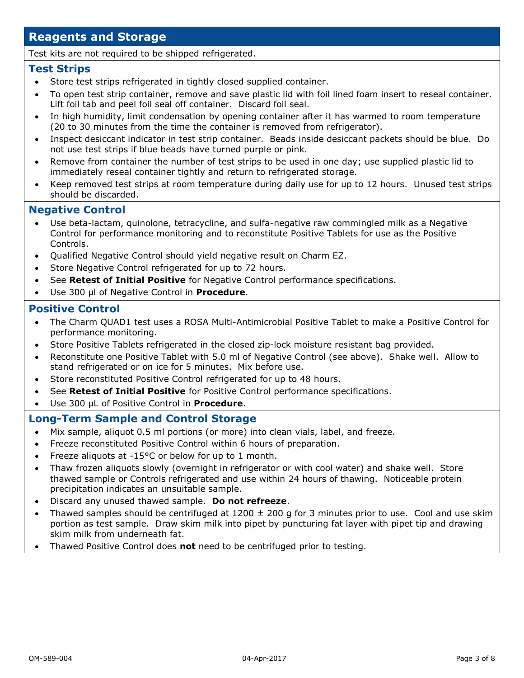## **Reagents and Storage**

Test kits are not required to be shipped refrigerated.

#### **Test Strips**

- Store test strips refrigerated in tightly closed supplied container.
- To open test strip container, remove and save plastic lid with foil lined foam insert to reseal container. Lift foil tab and peel foil seal off container. Discard foil seal.
- In high humidity, limit condensation by opening container after it has warmed to room temperature (20 to 30 minutes from the time the container is removed from refrigerator).
- Inspect desiccant indicator in test strip container. Beads inside desiccant packets should be blue. Do not use test strips if blue beads have turned purple or pink.
- Remove from container the number of test strips to be used in one day; use supplied plastic lid to immediately reseal container tightly and return to refrigerated storage.
- Keep removed test strips at room temperature during daily use for up to 12 hours. Unused test strips should be discarded.

#### **Negative Control**

- Use beta-lactam, quinolone, tetracycline, and sulfa-negative raw commingled milk as a Negative Control for performance monitoring and to reconstitute Positive Tablets for use as the Positive Controls.
- Qualified Negative Control should yield negative result on Charm EZ.
- Store Negative Control refrigerated for up to 72 hours.
- See **Retest of Initial Positive** for Negative Control performance specifications.
- Use 300 µl of Negative Control in **Procedure**.

#### **Positive Control**

- The Charm QUAD1 test uses a ROSA Multi-Antimicrobial Positive Tablet to make a Positive Control for performance monitoring.
- Store Positive Tablets refrigerated in the closed zip-lock moisture resistant bag provided.
- Reconstitute one Positive Tablet with 5.0 ml of Negative Control (see above). Shake well. Allow to stand refrigerated or on ice for 5 minutes. Mix before use.
- Store reconstituted Positive Control refrigerated for up to 48 hours.
- See **Retest of Initial Positive** for Positive Control performance specifications.
- Use 300 µL of Positive Control in **Procedure**.

#### **Long-Term Sample and Control Storage**

- Mix sample, aliquot 0.5 ml portions (or more) into clean vials, label, and freeze.
- Freeze reconstituted Positive Control within 6 hours of preparation.
- Freeze aliquots at -15°C or below for up to 1 month.
- Thaw frozen aliquots slowly (overnight in refrigerator or with cool water) and shake well. Store thawed sample or Controls refrigerated and use within 24 hours of thawing. Noticeable protein precipitation indicates an unsuitable sample.
- Discard any unused thawed sample. **Do not refreeze**.
- Thawed samples should be centrifuged at  $1200 \pm 200$  g for 3 minutes prior to use. Cool and use skim portion as test sample. Draw skim milk into pipet by puncturing fat layer with pipet tip and drawing skim milk from underneath fat.
- Thawed Positive Control does **not** need to be centrifuged prior to testing.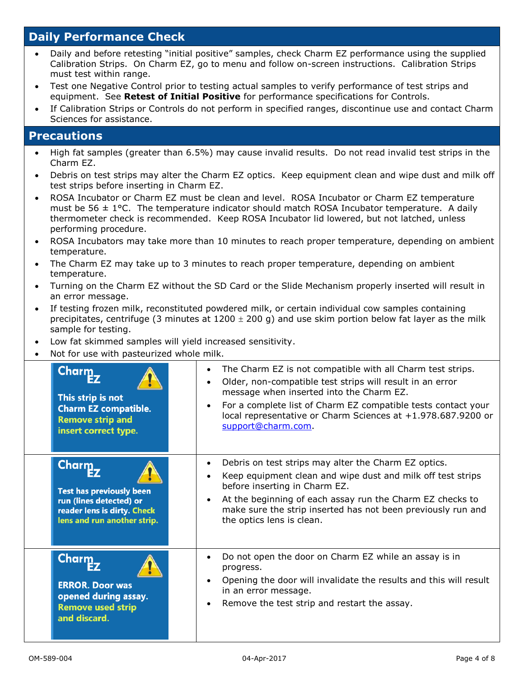## **Daily Performance Check**

- Daily and before retesting "initial positive" samples, check Charm EZ performance using the supplied Calibration Strips. On Charm EZ, go to menu and follow on-screen instructions. Calibration Strips must test within range.
- Test one Negative Control prior to testing actual samples to verify performance of test strips and equipment. See **Retest of Initial Positive** for performance specifications for Controls.
- If Calibration Strips or Controls do not perform in specified ranges, discontinue use and contact Charm Sciences for assistance.

### **Precautions**

- High fat samples (greater than 6.5%) may cause invalid results. Do not read invalid test strips in the Charm EZ.
- Debris on test strips may alter the Charm EZ optics. Keep equipment clean and wipe dust and milk off test strips before inserting in Charm EZ.
- ROSA Incubator or Charm EZ must be clean and level. ROSA Incubator or Charm EZ temperature must be 56  $\pm$  1°C. The temperature indicator should match ROSA Incubator temperature. A daily thermometer check is recommended. Keep ROSA Incubator lid lowered, but not latched, unless performing procedure.
- ROSA Incubators may take more than 10 minutes to reach proper temperature, depending on ambient temperature.
- The Charm EZ may take up to 3 minutes to reach proper temperature, depending on ambient temperature.
- Turning on the Charm EZ without the SD Card or the Slide Mechanism properly inserted will result in an error message.
- If testing frozen milk, reconstituted powdered milk, or certain individual cow samples containing precipitates, centrifuge (3 minutes at  $1200 \pm 200$  g) and use skim portion below fat layer as the milk sample for testing.
- Low fat skimmed samples will yield increased sensitivity.
- Not for use with pasteurized whole milk.

| Charm_<br>This strip is not<br><b>Charm EZ compatible.</b><br><b>Remove strip and</b><br>insert correct type.                      | The Charm EZ is not compatible with all Charm test strips.<br>$\bullet$<br>Older, non-compatible test strips will result in an error<br>$\bullet$<br>message when inserted into the Charm EZ.<br>For a complete list of Charm EZ compatible tests contact your<br>$\bullet$<br>local representative or Charm Sciences at +1.978.687.9200 or<br>support@charm.com. |
|------------------------------------------------------------------------------------------------------------------------------------|-------------------------------------------------------------------------------------------------------------------------------------------------------------------------------------------------------------------------------------------------------------------------------------------------------------------------------------------------------------------|
| Charm.<br><b>Test has previously been</b><br>run (lines detected) or<br>reader lens is dirty. Check<br>lens and run another strip. | Debris on test strips may alter the Charm EZ optics.<br>$\bullet$<br>Keep equipment clean and wipe dust and milk off test strips<br>$\bullet$<br>before inserting in Charm EZ.<br>At the beginning of each assay run the Charm EZ checks to<br>$\bullet$<br>make sure the strip inserted has not been previously run and<br>the optics lens is clean.             |
| <b>Charm</b><br><b>ERROR. Door was</b><br>opened during assay.<br><b>Remove used strip</b><br>and discard.                         | Do not open the door on Charm EZ while an assay is in<br>$\bullet$<br>progress.<br>Opening the door will invalidate the results and this will result<br>$\bullet$<br>in an error message.<br>Remove the test strip and restart the assay.<br>$\bullet$                                                                                                            |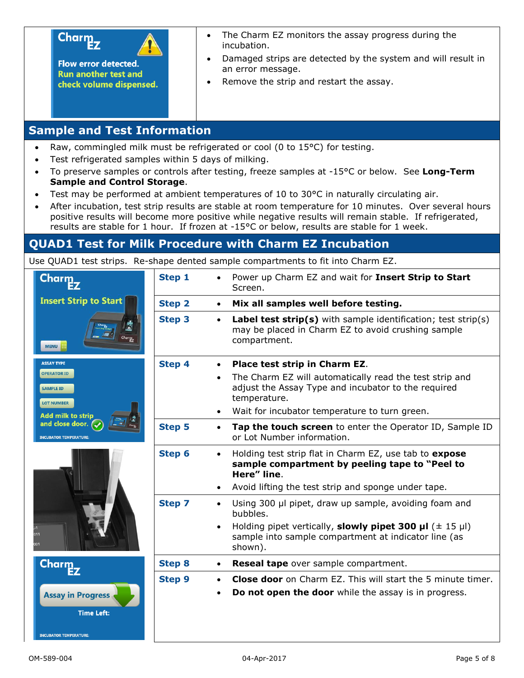

**Flow error detected. Run another test and** check volume dispensed.

- The Charm EZ monitors the assay progress during the incubation.
- Damaged strips are detected by the system and will result in an error message.
- Remove the strip and restart the assay.

## **Sample and Test Information**

- Raw, commingled milk must be refrigerated or cool (0 to 15°C) for testing.
- Test refrigerated samples within 5 days of milking.
- To preserve samples or controls after testing, freeze samples at -15°C or below. See **Long-Term Sample and Control Storage**.
- Test may be performed at ambient temperatures of 10 to 30°C in naturally circulating air.
- After incubation, test strip results are stable at room temperature for 10 minutes. Over several hours positive results will become more positive while negative results will remain stable. If refrigerated, results are stable for 1 hour. If frozen at -15°C or below, results are stable for 1 week.

## **QUAD1 Test for Milk Procedure with Charm EZ Incubation**

Use QUAD1 test strips. Re-shape dented sample compartments to fit into Charm EZ.

| Charm.                                                      | Step 1        | Power up Charm EZ and wait for Insert Strip to Start<br>Screen.                                                                                         |
|-------------------------------------------------------------|---------------|---------------------------------------------------------------------------------------------------------------------------------------------------------|
| <b>Insert Strip to Start</b>                                | <b>Step 2</b> | Mix all samples well before testing.<br>$\bullet$                                                                                                       |
| <b>MENU</b>                                                 | <b>Step 3</b> | <b>Label test strip(s)</b> with sample identification; test strip(s)<br>$\bullet$<br>may be placed in Charm EZ to avoid crushing sample<br>compartment. |
| <b>ASSAY TYPE</b>                                           | <b>Step 4</b> | Place test strip in Charm EZ.                                                                                                                           |
| <b>OPERATOR ID</b><br><b>SAMPLE ID</b><br><b>LOT NUMBER</b> |               | The Charm EZ will automatically read the test strip and<br>$\bullet$<br>adjust the Assay Type and incubator to the required<br>temperature.             |
| <b>Add milk to strip</b>                                    |               | Wait for incubator temperature to turn green.                                                                                                           |
| and close door. (<br><b>INCUBATOR TEMPERATURE:</b>          | <b>Step 5</b> | Tap the touch screen to enter the Operator ID, Sample ID<br>$\bullet$<br>or Lot Number information.                                                     |
|                                                             | <b>Step 6</b> | Holding test strip flat in Charm EZ, use tab to expose<br>$\bullet$<br>sample compartment by peeling tape to "Peel to<br>Here" line.                    |
|                                                             |               | Avoid lifting the test strip and sponge under tape.                                                                                                     |
|                                                             | <b>Step 7</b> | Using 300 µl pipet, draw up sample, avoiding foam and<br>$\bullet$<br>bubbles.                                                                          |
|                                                             |               | Holding pipet vertically, slowly pipet 300 $\mu$ I ( $\pm$ 15 $\mu$ I)<br>sample into sample compartment at indicator line (as<br>shown).               |
| <b>Charm</b>                                                | <b>Step 8</b> | Reseal tape over sample compartment.<br>$\bullet$                                                                                                       |
|                                                             | <b>Step 9</b> | <b>Close door</b> on Charm EZ. This will start the 5 minute timer.                                                                                      |
| <b>Assay in Progress</b><br><b>Time Left:</b>               |               | Do not open the door while the assay is in progress.                                                                                                    |
|                                                             |               |                                                                                                                                                         |
| <b>INCUBATOR TEMPERATURE:</b>                               |               |                                                                                                                                                         |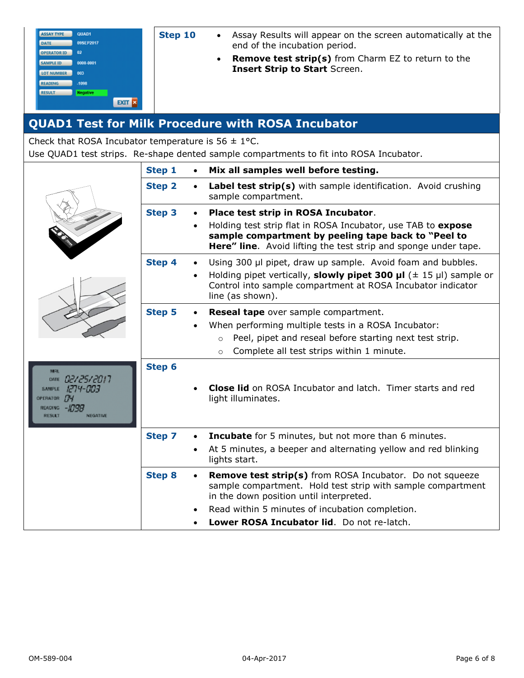| <b>ASSAY TYPE</b>  | QUAD1     |
|--------------------|-----------|
| DATE               | 09SEP2017 |
| <b>OPERATOR ID</b> | $^{62}$   |
| <b>SAMPLE ID</b>   | 0000-0001 |
| <b>LOT NUMBER</b>  | 003       |
| <b>READING</b>     | $-1098$   |
| <b>RESULT</b>      | Negative  |
|                    | EXI<br>×  |

- **Step 10** Assay Results will appear on the screen automatically at the end of the incubation period.
	- **Remove test strip(s)** from Charm EZ to return to the **Insert Strip to Start** Screen.

## **QUAD1 Test for Milk Procedure with ROSA Incubator**

Check that ROSA Incubator temperature is  $56 \pm 1$ °C.

Use QUAD1 test strips. Re-shape dented sample compartments to fit into ROSA Incubator.

|                                                                                                                                  | <b>Step 1</b> | Mix all samples well before testing.                                                                                                                                                                                                                                                                 |
|----------------------------------------------------------------------------------------------------------------------------------|---------------|------------------------------------------------------------------------------------------------------------------------------------------------------------------------------------------------------------------------------------------------------------------------------------------------------|
|                                                                                                                                  | <b>Step 2</b> | Label test strip(s) with sample identification. Avoid crushing<br>$\bullet$<br>sample compartment.                                                                                                                                                                                                   |
|                                                                                                                                  | <b>Step 3</b> | Place test strip in ROSA Incubator.<br>$\bullet$<br>Holding test strip flat in ROSA Incubator, use TAB to expose<br>$\bullet$<br>sample compartment by peeling tape back to "Peel to<br><b>Here" line.</b> Avoid lifting the test strip and sponge under tape.                                       |
|                                                                                                                                  | Step 4        | Using 300 µl pipet, draw up sample. Avoid foam and bubbles.<br>$\bullet$<br>Holding pipet vertically, slowly pipet 300 $\mu$ l ( $\pm$ 15 $\mu$ l) sample or<br>$\bullet$<br>Control into sample compartment at ROSA Incubator indicator<br>line (as shown).                                         |
|                                                                                                                                  | <b>Step 5</b> | <b>Reseal tape</b> over sample compartment.<br>$\bullet$<br>When performing multiple tests in a ROSA Incubator:<br>$\bullet$<br>Peel, pipet and reseal before starting next test strip.<br>$\Omega$<br>Complete all test strips within 1 minute.<br>$\circ$                                          |
| <b>MRL</b><br>DATE 02/25/2017<br>1274-003<br><b>SAMPLE</b><br>OPERATOR TY<br>READING $-1755$<br><b>NEGATIVE</b><br><b>RESULT</b> | Step 6        | <b>Close lid</b> on ROSA Incubator and latch. Timer starts and red<br>light illuminates.                                                                                                                                                                                                             |
|                                                                                                                                  | <b>Step 7</b> | <b>Incubate</b> for 5 minutes, but not more than 6 minutes.<br>$\bullet$<br>At 5 minutes, a beeper and alternating yellow and red blinking<br>$\bullet$<br>lights start.                                                                                                                             |
|                                                                                                                                  | <b>Step 8</b> | <b>Remove test strip(s)</b> from ROSA Incubator. Do not squeeze<br>$\bullet$<br>sample compartment. Hold test strip with sample compartment<br>in the down position until interpreted.<br>Read within 5 minutes of incubation completion.<br>Lower ROSA Incubator lid. Do not re-latch.<br>$\bullet$ |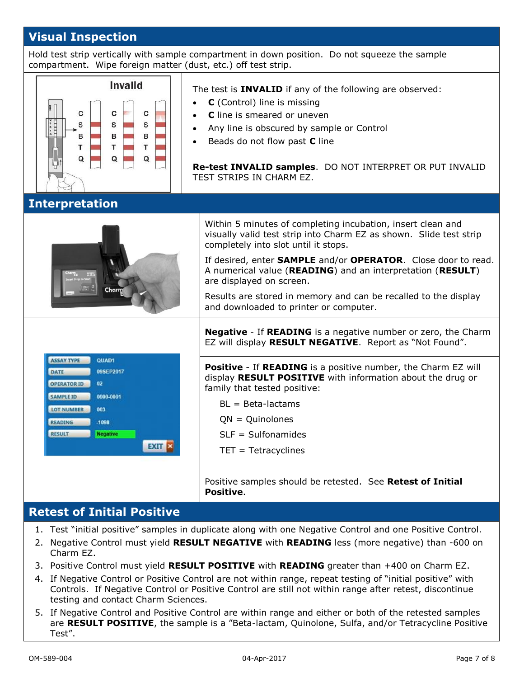## **Visual Inspection**

Hold test strip vertically with sample compartment in down position. Do not squeeze the sample compartment. Wipe foreign matter (dust, etc.) off test strip.



### **Retest of Initial Positive**

- 1. Test "initial positive" samples in duplicate along with one Negative Control and one Positive Control.
- 2. Negative Control must yield **RESULT NEGATIVE** with **READING** less (more negative) than -600 on Charm EZ.
- 3. Positive Control must yield **RESULT POSITIVE** with **READING** greater than +400 on Charm EZ.
- 4. If Negative Control or Positive Control are not within range, repeat testing of "initial positive" with Controls. If Negative Control or Positive Control are still not within range after retest, discontinue testing and contact Charm Sciences.
- 5. If Negative Control and Positive Control are within range and either or both of the retested samples are **RESULT POSITIVE**, the sample is a "Beta-lactam, Quinolone, Sulfa, and/or Tetracycline Positive Test".